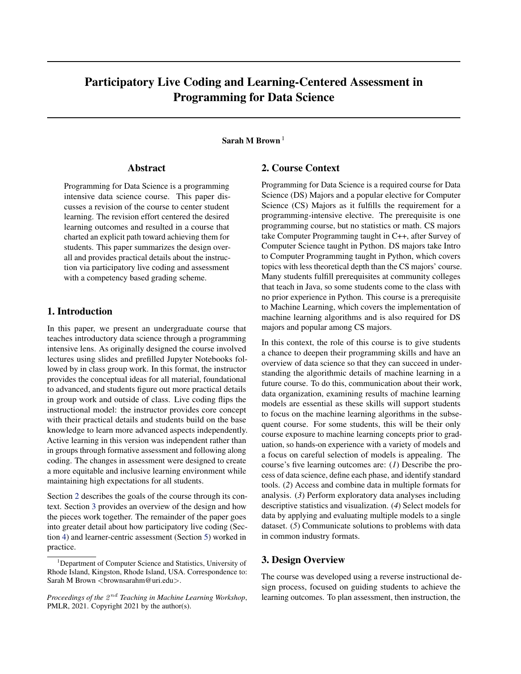# <span id="page-0-0"></span>Participatory Live Coding and Learning-Centered Assessment in Programming for Data Science

## Sarah M Brown<sup>1</sup>

#### Abstract

Programming for Data Science is a programming intensive data science course. This paper discusses a revision of the course to center student learning. The revision effort centered the desired learning outcomes and resulted in a course that charted an explicit path toward achieving them for students. This paper summarizes the design overall and provides practical details about the instruction via participatory live coding and assessment with a competency based grading scheme.

#### 1. Introduction

In this paper, we present an undergraduate course that teaches introductory data science through a programming intensive lens. As originally designed the course involved lectures using slides and prefilled Jupyter Notebooks followed by in class group work. In this format, the instructor provides the conceptual ideas for all material, foundational to advanced, and students figure out more practical details in group work and outside of class. Live coding flips the instructional model: the instructor provides core concept with their practical details and students build on the base knowledge to learn more advanced aspects independently. Active learning in this version was independent rather than in groups through formative assessment and following along coding. The changes in assessment were designed to create a more equitable and inclusive learning environment while maintaining high expectations for all students.

Section 2 describes the goals of the course through its context. Section 3 provides an overview of the design and how the pieces work together. The remainder of the paper goes into greater detail about how participatory live coding (Section [4\)](#page-1-0) and learner-centric assessment (Section [5\)](#page-2-0) worked in practice.

## 2. Course Context

Programming for Data Science is a required course for Data Science (DS) Majors and a popular elective for Computer Science (CS) Majors as it fulfills the requirement for a programming-intensive elective. The prerequisite is one programming course, but no statistics or math. CS majors take Computer Programming taught in C++, after Survey of Computer Science taught in Python. DS majors take Intro to Computer Programming taught in Python, which covers topics with less theoretical depth than the CS majors' course. Many students fulfill prerequisites at community colleges that teach in Java, so some students come to the class with no prior experience in Python. This course is a prerequisite to Machine Learning, which covers the implementation of machine learning algorithms and is also required for DS majors and popular among CS majors.

In this context, the role of this course is to give students a chance to deepen their programming skills and have an overview of data science so that they can succeed in understanding the algorithmic details of machine learning in a future course. To do this, communication about their work, data organization, examining results of machine learning models are essential as these skills will support students to focus on the machine learning algorithms in the subsequent course. For some students, this will be their only course exposure to machine learning concepts prior to graduation, so hands-on experience with a variety of models and a focus on careful selection of models is appealing. The course's five learning outcomes are: (*1*) Describe the process of data science, define each phase, and identify standard tools. (*2*) Access and combine data in multiple formats for analysis. (*3*) Perform exploratory data analyses including descriptive statistics and visualization. (*4*) Select models for data by applying and evaluating multiple models to a single dataset. (*5*) Communicate solutions to problems with data in common industry formats.

#### 3. Design Overview

The course was developed using a reverse instructional design process, focused on guiding students to achieve the learning outcomes. To plan assessment, then instruction, the

<sup>&</sup>lt;sup>1</sup>Department of Computer Science and Statistics, University of Rhode Island, Kingston, Rhode Island, USA. Correspondence to: Sarah M Brown <br/> <br/> <br/> <br/> <br/> <br/> <br/>means and  $\geq$  .

Proceedings of the  $2^{nd}$  Teaching in Machine Learning Workshop, PMLR, 2021. Copyright 2021 by the author(s).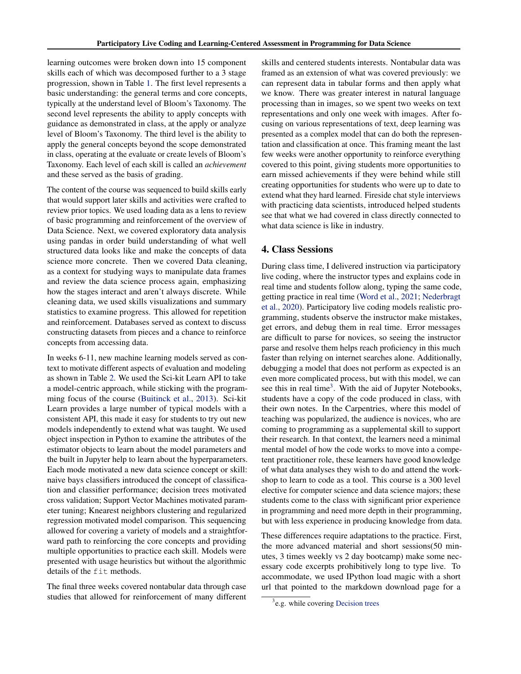<span id="page-1-0"></span>learning outcomes were broken down into 15 component skills each of which was decomposed further to a 3 stage progression, shown in Table [1.](#page-2-0) The first level represents a basic understanding: the general terms and core concepts, typically at the understand level of Bloom's Taxonomy. The second level represents the ability to apply concepts with guidance as demonstrated in class, at the apply or analyze level of Bloom's Taxonomy. The third level is the ability to apply the general concepts beyond the scope demonstrated in class, operating at the evaluate or create levels of Bloom's Taxonomy. Each level of each skill is called an *achievement* and these served as the basis of grading.

The content of the course was sequenced to build skills early that would support later skills and activities were crafted to review prior topics. We used loading data as a lens to review of basic programming and reinforcement of the overview of Data Science. Next, we covered exploratory data analysis using pandas in order build understanding of what well structured data looks like and make the concepts of data science more concrete. Then we covered Data cleaning, as a context for studying ways to manipulate data frames and review the data science process again, emphasizing how the stages interact and aren't always discrete. While cleaning data, we used skills visualizations and summary statistics to examine progress. This allowed for repetition and reinforcement. Databases served as context to discuss constructing datasets from pieces and a chance to reinforce concepts from accessing data.

In weeks 6-11, new machine learning models served as context to motivate different aspects of evaluation and modeling as shown in Table [2.](#page-2-0) We used the Sci-kit Learn API to take a model-centric approach, while sticking with the programming focus of the course [\(Buitinck et al.,](#page-4-0) [2013\)](#page-4-0). Sci-kit Learn provides a large number of typical models with a consistent API, this made it easy for students to try out new models independently to extend what was taught. We used object inspection in Python to examine the attributes of the estimator objects to learn about the model parameters and the built in Jupyter help to learn about the hyperparameters. Each mode motivated a new data science concept or skill: naive bays classifiers introduced the concept of classification and classifier performance; decision trees motivated cross validation; Support Vector Machines motivated parameter tuning; Knearest neighbors clustering and regularized regression motivated model comparison. This sequencing allowed for covering a variety of models and a straightforward path to reinforcing the core concepts and providing multiple opportunities to practice each skill. Models were presented with usage heuristics but without the algorithmic details of the fit methods.

The final three weeks covered nontabular data through case studies that allowed for reinforcement of many different skills and centered students interests. Nontabular data was framed as an extension of what was covered previously: we can represent data in tabular forms and then apply what we know. There was greater interest in natural language processing than in images, so we spent two weeks on text representations and only one week with images. After focusing on various representations of text, deep learning was presented as a complex model that can do both the representation and classification at once. This framing meant the last few weeks were another opportunity to reinforce everything covered to this point, giving students more opportunities to earn missed achievements if they were behind while still creating opportunities for students who were up to date to extend what they hard learned. Fireside chat style interviews with practicing data scientists, introduced helped students see that what we had covered in class directly connected to what data science is like in industry.

#### 4. Class Sessions

During class time, I delivered instruction via participatory live coding, where the instructor types and explains code in real time and students follow along, typing the same code, getting practice in real time [\(Word et al.,](#page-4-0) [2021;](#page-4-0) [Nederbragt](#page-4-0) [et al.,](#page-4-0) [2020\)](#page-4-0). Participatory live coding models realistic programming, students observe the instructor make mistakes, get errors, and debug them in real time. Error messages are difficult to parse for novices, so seeing the instructor parse and resolve them helps reach proficiency in this much faster than relying on internet searches alone. Additionally, debugging a model that does not perform as expected is an even more complicated process, but with this model, we can see this in real time<sup>3</sup>. With the aid of Jupyter Notebooks, students have a copy of the code produced in class, with their own notes. In the Carpentries, where this model of teaching was popularized, the audience is novices, who are coming to programming as a supplemental skill to support their research. In that context, the learners need a minimal mental model of how the code works to move into a competent practitioner role, these learners have good knowledge of what data analyses they wish to do and attend the workshop to learn to code as a tool. This course is a 300 level elective for computer science and data science majors; these students come to the class with significant prior experience in programming and need more depth in their programming, but with less experience in producing knowledge from data.

These differences require adaptations to the practice. First, the more advanced material and short sessions(50 minutes, 3 times weekly vs 2 day bootcamp) make some necessary code excerpts prohibitively long to type live. To accommodate, we used IPython load magic with a short url that pointed to the markdown download page for a

<sup>&</sup>lt;sup>3</sup>e.g. while covering [Decision trees](https://rhodyprog4ds.github.io/BrownFall20/notes/2020-10-21.html)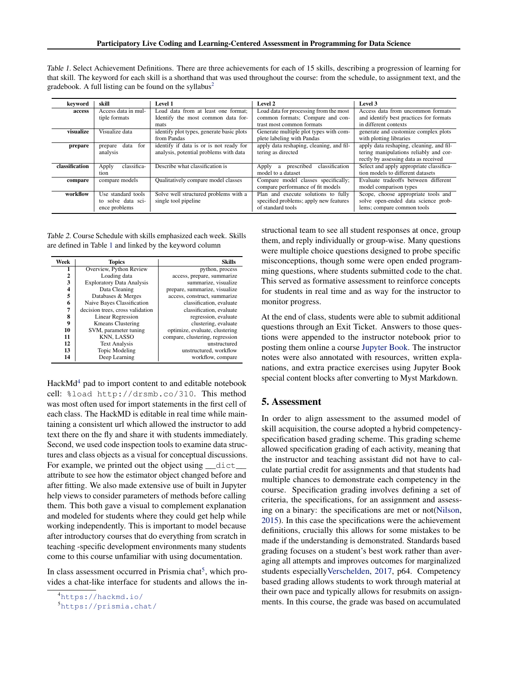<span id="page-2-0"></span>

| Table 1. Select Achievement Definitions. There are three achievements for each of 15 skills, describing a progression of learning for     |  |  |  |  |
|-------------------------------------------------------------------------------------------------------------------------------------------|--|--|--|--|
| that skill. The keyword for each skill is a shorthand that was used throughout the course: from the schedule, to assignment text, and the |  |  |  |  |
| gradebook. A full listing can be found on the syllabus <sup>2</sup>                                                                       |  |  |  |  |

| keyword        | skill                  | Level 1                                   | Level 2                                    | Level 3                                  |
|----------------|------------------------|-------------------------------------------|--------------------------------------------|------------------------------------------|
| access         | Access data in mul-    | Load data from at least one format;       | Load data for processing from the most     | Access data from uncommon formats        |
|                | tiple formats          | Identify the most common data for-        | common formats; Compare and con-           | and identify best practices for formats  |
|                |                        | mats                                      | trast most common formats                  | in different contexts                    |
| visualize      | Visualize data         | identify plot types, generate basic plots | Generate multiple plot types with com-     | generate and customize complex plots     |
|                |                        | from Pandas                               | plete labeling with Pandas                 | with plotting libraries                  |
| prepare        | for<br>data<br>prepare | identify if data is or is not ready for   | apply data reshaping, cleaning, and fil-   | apply data reshaping, cleaning, and fil- |
|                | analysis               | analysis, potential problems with data    | tering as directed                         | tering manipulations reliably and cor-   |
|                |                        |                                           |                                            | rectly by assessing data as received     |
| classification | classifica-<br>Apply   | Describe what classification is           | classification<br>prescribed<br>Apply<br>a | Select and apply appropriate classifica- |
|                | tion                   |                                           | model to a dataset                         | tion models to different datasets        |
| compare        | compare models         | Qualitatively compare model classes       | Compare model classes specifically;        | Evaluate tradeoffs between different     |
|                |                        |                                           | compare performance of fit models          | model comparison types                   |
| workflow       | Use standard tools     | Solve well structured problems with a     | Plan and execute solutions to fully        | Scope, choose appropriate tools and      |
|                | to solve data sci-     | single tool pipeline                      | specified problems; apply new features     | solve open-ended data science prob-      |
|                | ence problems          |                                           | of standard tools                          | lems; compare common tools               |

Table 2. Course Schedule with skills emphasized each week. Skills are defined in Table 1 and linked by the keyword column

| Week         | <b>Topics</b>                    | <b>Skills</b>                   |
|--------------|----------------------------------|---------------------------------|
| 1            | Overview, Python Review          | python, process                 |
| $\mathbf{2}$ | Loading data                     | access, prepare, summarize      |
| 3            | <b>Exploratory Data Analysis</b> | summarize, visualize            |
| 4            | Data Cleaning                    | prepare, summarize, visualize   |
| 5            | Databases & Merges               | access, construct, summarize    |
| 6            | Naive Bayes Classification       | classification, evaluate        |
| 7            | decision trees, cross validation | classification, evaluate        |
| 8            | <b>Linear Regression</b>         | regression, evaluate            |
| 9            | <b>Kmeans Clustering</b>         | clustering, evaluate            |
| 10           | SVM, parameter tuning            | optimize, evaluate, clustering  |
| 11           | KNN, LASSO                       | compare, clustering, regression |
| 12           | <b>Text Analysis</b>             | unstructured                    |
| 13           | Topic Modeling                   | unstructured, workflow          |
| 14           | Deep Learning                    | workflow, compare               |

 $HackMd<sup>4</sup>$  pad to import content to and editable notebook cell: %load http://drsmb.co/310. This method was most often used for import statements in the first cell of each class. The HackMD is editable in real time while maintaining a consistent url which allowed the instructor to add text there on the fly and share it with students immediately. Second, we used code inspection tools to examine data structures and class objects as a visual for conceptual discussions. For example, we printed out the object using  $\det$ attribute to see how the estimator object changed before and after fitting. We also made extensive use of built in Jupyter help views to consider parameters of methods before calling them. This both gave a visual to complement explanation and modeled for students where they could get help while working independently. This is important to model because after introductory courses that do everything from scratch in teaching -specific development environments many students come to this course unfamiliar with using documentation.

In class assessment occurred in Prismia chat<sup>5</sup>, which provides a chat-like interface for students and allows the instructional team to see all student responses at once, group them, and reply individually or group-wise. Many questions were multiple choice questions designed to probe specific misconceptions, though some were open ended programming questions, where students submitted code to the chat. This served as formative assessment to reinforce concepts for students in real time and as way for the instructor to monitor progress.

At the end of class, students were able to submit additional questions through an Exit Ticket. Answers to those questions were appended to the instructor notebook prior to posting them online a course [Jupyter Book.](https://rhodyprog4ds.github.io/BrownFall20/notes/) The instructor notes were also annotated with resources, written explanations, and extra practice exercises using Jupyter Book special content blocks after converting to Myst Markdown.

#### 5. Assessment

In order to align assessment to the assumed model of skill acquisition, the course adopted a hybrid competencyspecification based grading scheme. This grading scheme allowed specification grading of each activity, meaning that the instructor and teaching assistant did not have to calculate partial credit for assignments and that students had multiple chances to demonstrate each competency in the course. Specification grading involves defining a set of criteria, the specifications, for an assignment and assessing on a binary: the specifications are met or not[\(Nilson,](#page-4-0) [2015\)](#page-4-0). In this case the specifications were the achievement definitions, crucially this allows for some mistakes to be made if the understanding is demonstrated. Standards based grading focuses on a student's best work rather than averaging all attempts and improves outcomes for marginalized students especiall[yVerschelden,](#page-4-0) [2017,](#page-4-0) p64. Competency based grading allows students to work through material at their own pace and typically allows for resubmits on assignments. In this course, the grade was based on accumulated

<sup>4</sup><https://hackmd.io/>

<sup>5</sup><https://prismia.chat/>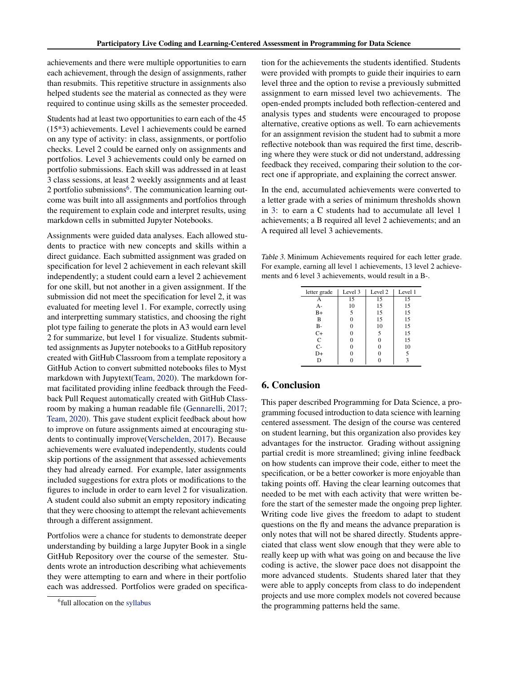achievements and there were multiple opportunities to earn each achievement, through the design of assignments, rather than resubmits. This repetitive structure in assignments also helped students see the material as connected as they were required to continue using skills as the semester proceeded.

Students had at least two opportunities to earn each of the 45 (15\*3) achievements. Level 1 achievements could be earned on any type of activity: in class, assignments, or portfolio checks. Level 2 could be earned only on assignments and portfolios. Level 3 achievements could only be earned on portfolio submissions. Each skill was addressed in at least 3 class sessions, at least 2 weekly assignments and at least 2 portfolio submissions<sup>6</sup>. The communication learning outcome was built into all assignments and portfolios through the requirement to explain code and interpret results, using markdown cells in submitted Jupyter Notebooks.

Assignments were guided data analyses. Each allowed students to practice with new concepts and skills within a direct guidance. Each submitted assignment was graded on specification for level 2 achievement in each relevant skill independently; a student could earn a level 2 achievement for one skill, but not another in a given assignment. If the submission did not meet the specification for level 2, it was evaluated for meeting level 1. For example, correctly using and interpretting summary statistics, and choosing the right plot type failing to generate the plots in A3 would earn level 2 for summarize, but level 1 for visualize. Students submitted assignments as Jupyter notebooks to a GitHub repository created with GitHub Classroom from a template repository a GitHub Action to convert submitted notebooks files to Myst markdown with Jupytext[\(Team,](#page-4-0) [2020\)](#page-4-0). The markdown format facilitated providing inline feedback through the Feedback Pull Request automatically created with GitHub Classroom by making a human readable file [\(Gennarelli,](#page-4-0) [2017;](#page-4-0) [Team,](#page-4-0) [2020\)](#page-4-0). This gave student explicit feedback about how to improve on future assignments aimed at encouraging students to continually improve[\(Verschelden,](#page-4-0) [2017\)](#page-4-0). Because achievements were evaluated independently, students could skip portions of the assignment that assessed achievements they had already earned. For example, later assignments included suggestions for extra plots or modifications to the figures to include in order to earn level 2 for visualization. A student could also submit an empty repository indicating that they were choosing to attempt the relevant achievements through a different assignment.

Portfolios were a chance for students to demonstrate deeper understanding by building a large Jupyter Book in a single GitHub Repository over the course of the semester. Students wrote an introduction describing what achievements they were attempting to earn and where in their portfolio each was addressed. Portfolios were graded on specification for the achievements the students identified. Students were provided with prompts to guide their inquiries to earn level three and the option to revise a previously submitted assignment to earn missed level two achievements. The open-ended prompts included both reflection-centered and analysis types and students were encouraged to propose alternative, creative options as well. To earn achievements for an assignment revision the student had to submit a more reflective notebook than was required the first time, describing where they were stuck or did not understand, addressing feedback they received, comparing their solution to the correct one if appropriate, and explaining the correct answer.

In the end, accumulated achievements were converted to a letter grade with a series of minimum thresholds shown in 3: to earn a C students had to accumulate all level 1 achievements; a B required all level 2 achievements; and an A required all level 3 achievements.

Table 3. Minimum Achievements required for each letter grade. For example, earning all level 1 achievements, 13 level 2 achievements and 6 level 3 achievements, would result in a B-.

| letter grade | Level 3 | Level 2 | Level 1 |
|--------------|---------|---------|---------|
| А            | 15      | 15      | 15      |
| $A-$         | 10      | 15      | 15      |
| $B+$         | 5       | 15      | 15      |
| B            | 0       | 15      | 15      |
| B-           | 0       | 10      | 15      |
| $C+$         | 0       | 5       | 15      |
| $\mathsf{C}$ | 0       | 0       | 15      |
| $C-$         | 0       | 0       | 10      |
| D+           |         | 0       | 5       |
| D            |         |         |         |
|              |         |         |         |

## 6. Conclusion

This paper described Programming for Data Science, a programming focused introduction to data science with learning centered assessment. The design of the course was centered on student learning, but this organization also provides key advantages for the instructor. Grading without assigning partial credit is more streamlined; giving inline feedback on how students can improve their code, either to meet the specification, or be a better coworker is more enjoyable than taking points off. Having the clear learning outcomes that needed to be met with each activity that were written before the start of the semester made the ongoing prep lighter. Writing code live gives the freedom to adapt to student questions on the fly and means the advance preparation is only notes that will not be shared directly. Students appreciated that class went slow enough that they were able to really keep up with what was going on and because the live coding is active, the slower pace does not disappoint the more advanced students. Students shared later that they were able to apply concepts from class to do independent projects and use more complex models not covered because the programming patterns held the same.

<sup>&</sup>lt;sup>6</sup>full allocation on the [syllabus](https://rhodyprog4ds.github.io/BrownFall20/syllabus/course_map.html##assignments-and-skills)